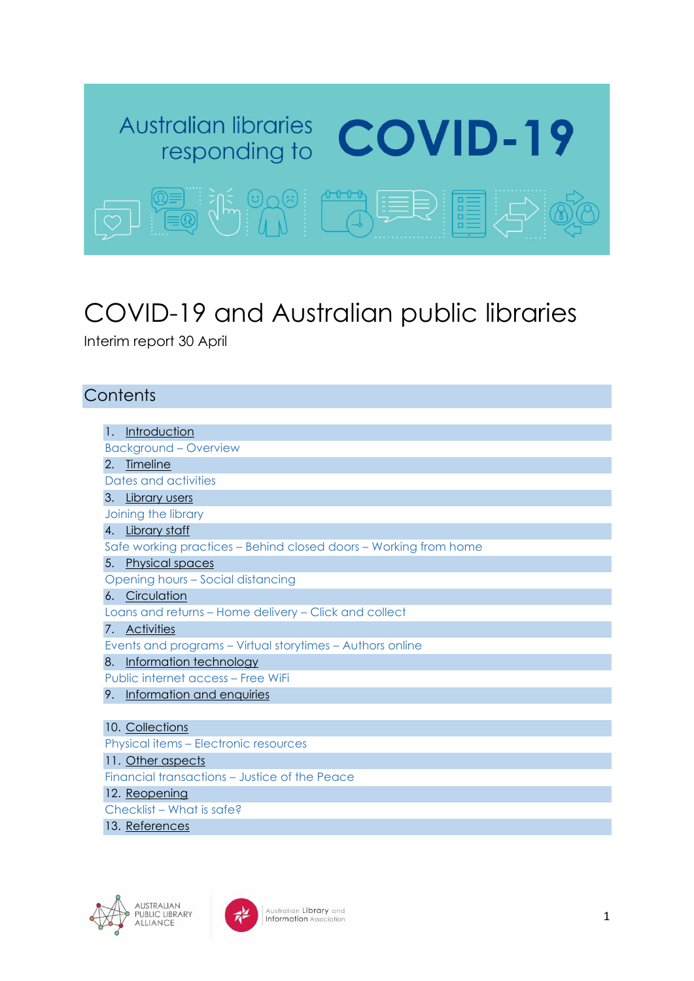

# COVID-19 and Australian public libraries

Interim report 30 April

## **Contents**

<span id="page-0-0"></span>

| 1.                                                    | Introduction                                                     |  |  |  |  |
|-------------------------------------------------------|------------------------------------------------------------------|--|--|--|--|
|                                                       | <b>Background - Overview</b>                                     |  |  |  |  |
| 2.                                                    | <b>Timeline</b>                                                  |  |  |  |  |
|                                                       | Dates and activities                                             |  |  |  |  |
|                                                       | 3. Library users                                                 |  |  |  |  |
|                                                       | Joining the library                                              |  |  |  |  |
|                                                       | 4. Library staff                                                 |  |  |  |  |
|                                                       | Safe working practices – Behind closed doors – Working from home |  |  |  |  |
| 5.                                                    | <b>Physical spaces</b>                                           |  |  |  |  |
| Opening hours - Social distancing                     |                                                                  |  |  |  |  |
|                                                       | 6. Circulation                                                   |  |  |  |  |
| Loans and returns – Home delivery – Click and collect |                                                                  |  |  |  |  |
|                                                       | 7. Activities                                                    |  |  |  |  |
|                                                       | Events and programs - Virtual storytimes - Authors online        |  |  |  |  |
| 8.                                                    | Information technology                                           |  |  |  |  |
|                                                       | Public internet access – Free WiFi                               |  |  |  |  |
| 9.                                                    | Information and enquiries                                        |  |  |  |  |
|                                                       |                                                                  |  |  |  |  |
|                                                       | 10. Collections                                                  |  |  |  |  |
| <b>Physical items – Electronic resources</b>          |                                                                  |  |  |  |  |
|                                                       | 11. Other aspects                                                |  |  |  |  |
| Financial transactions - Justice of the Peace         |                                                                  |  |  |  |  |
| 12. Reopening                                         |                                                                  |  |  |  |  |
| Checklist - What is safe?                             |                                                                  |  |  |  |  |
|                                                       | 13. References                                                   |  |  |  |  |
|                                                       |                                                                  |  |  |  |  |



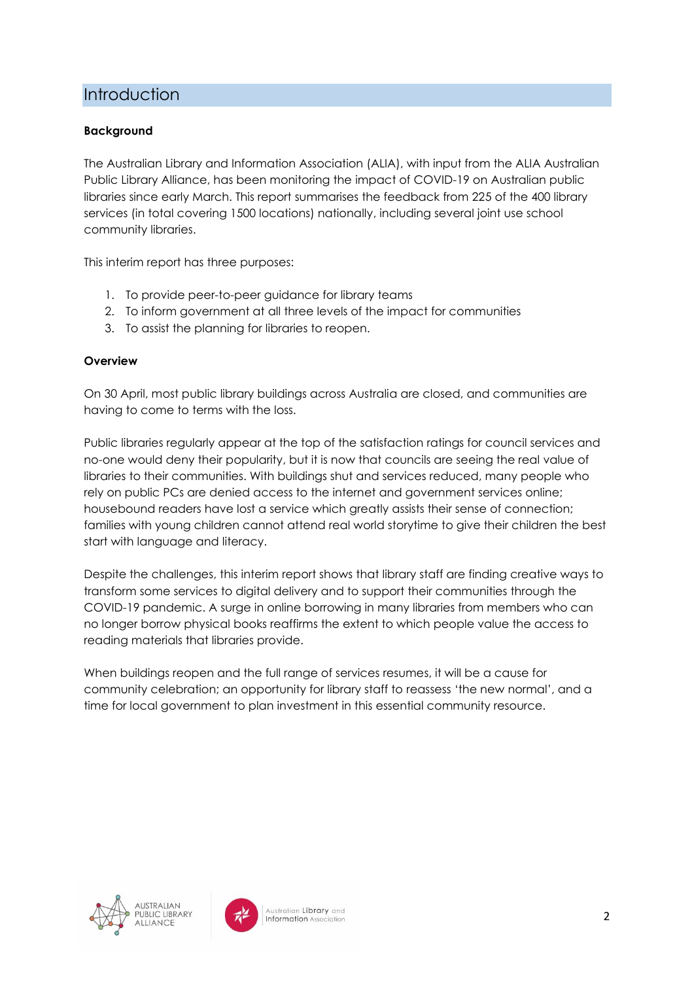## **Introduction**

#### **Background**

The Australian Library and Information Association (ALIA), with input from the ALIA Australian Public Library Alliance, has been monitoring the impact of COVID-19 on Australian public libraries since early March. This report summarises the feedback from 225 of the 400 library services (in total covering 1500 locations) nationally, including several joint use school community libraries.

This interim report has three purposes:

- 1. To provide peer-to-peer guidance for library teams
- 2. To inform government at all three levels of the impact for communities
- 3. To assist the planning for libraries to reopen.

#### **Overview**

On 30 April, most public library buildings across Australia are closed, and communities are having to come to terms with the loss.

Public libraries regularly appear at the top of the satisfaction ratings for council services and no-one would deny their popularity, but it is now that councils are seeing the real value of libraries to their communities. With buildings shut and services reduced, many people who rely on public PCs are denied access to the internet and government services online; housebound readers have lost a service which greatly assists their sense of connection; families with young children cannot attend real world storytime to give their children the best start with language and literacy.

Despite the challenges, this interim report shows that library staff are finding creative ways to transform some services to digital delivery and to support their communities through the COVID-19 pandemic. A surge in online borrowing in many libraries from members who can no longer borrow physical books reaffirms the extent to which people value the access to reading materials that libraries provide.

<span id="page-1-0"></span>When buildings reopen and the full range of services resumes, it will be a cause for community celebration; an opportunity for library staff to reassess 'the new normal', and a time for local government to plan investment in this essential community resource.



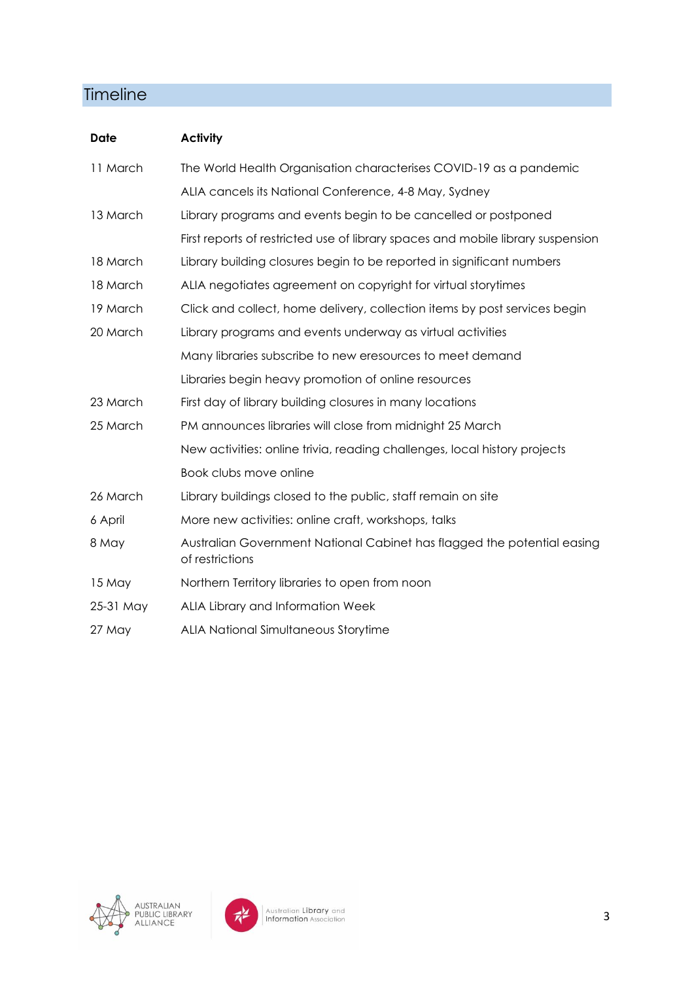## **Timeline**

| <b>Date</b> | <b>Activity</b>                                                                            |
|-------------|--------------------------------------------------------------------------------------------|
| 11 March    | The World Health Organisation characterises COVID-19 as a pandemic                         |
|             | ALIA cancels its National Conference, 4-8 May, Sydney                                      |
| 13 March    | Library programs and events begin to be cancelled or postponed                             |
|             | First reports of restricted use of library spaces and mobile library suspension            |
| 18 March    | Library building closures begin to be reported in significant numbers                      |
| 18 March    | ALIA negotiates agreement on copyright for virtual storytimes                              |
| 19 March    | Click and collect, home delivery, collection items by post services begin                  |
| 20 March    | Library programs and events underway as virtual activities                                 |
|             | Many libraries subscribe to new eresources to meet demand                                  |
|             | Libraries begin heavy promotion of online resources                                        |
| 23 March    | First day of library building closures in many locations                                   |
| 25 March    | PM announces libraries will close from midnight 25 March                                   |
|             | New activities: online trivia, reading challenges, local history projects                  |
|             | Book clubs move online                                                                     |
| 26 March    | Library buildings closed to the public, staff remain on site                               |
| 6 April     | More new activities: online craft, workshops, talks                                        |
| 8 May       | Australian Government National Cabinet has flagged the potential easing<br>of restrictions |
| 15 May      | Northern Territory libraries to open from noon                                             |
| 25-31 May   | ALIA Library and Information Week                                                          |
| 27 May      | ALIA National Simultaneous Storytime                                                       |

<span id="page-2-0"></span>

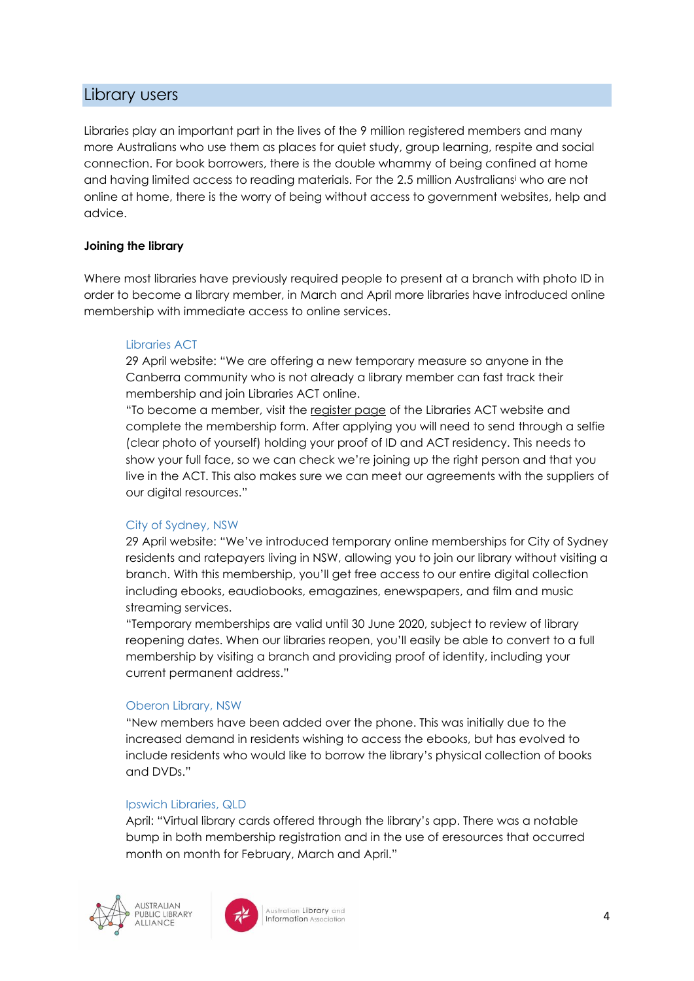## Library users

Libraries play an important part in the lives of the 9 million registered members and many more Australians who use them as places for quiet study, group learning, respite and social connection. For book borrowers, there is the double whammy of being confined at home and having limited access to reading materials. For the 2.5 million Australians<sup>i</sup> who are not online at home, there is the worry of being without access to government websites, help and advice.

#### **Joining the library**

Where most libraries have previously required people to present at a branch with photo ID in order to become a library member, in March and April more libraries have introduced online membership with immediate access to online services.

#### Libraries ACT

29 April website: "We are offering a new temporary measure so anyone in the Canberra community who is not already a library member can fast track their membership and join Libraries ACT online.

"To become a member, visit the [register page](https://librariesact.spydus.com/cgi-bin/spydus.exe/MSGTRN/WPAC/JOIN) of the Libraries ACT website and complete the membership form. After applying you will need to send through a selfie (clear photo of yourself) holding your proof of ID and ACT residency. This needs to show your full face, so we can check we're joining up the right person and that you live in the ACT. This also makes sure we can meet our agreements with the suppliers of our digital resources."

#### City of Sydney, NSW

29 April website: "We've introduced temporary online memberships for City of Sydney residents and ratepayers living in NSW, allowing you to join our library without visiting a branch. With this membership, you'll get free access to our entire digital collection including ebooks, eaudiobooks, emagazines, enewspapers, and film and music streaming services.

"Temporary memberships are valid until 30 June 2020, subject to review of library reopening dates. When our libraries reopen, you'll easily be able to convert to a full membership by visiting a branch and providing proof of identity, including your current permanent address."

#### Oberon Library, NSW

"New members have been added over the phone. This was initially due to the increased demand in residents wishing to access the ebooks, but has evolved to include residents who would like to borrow the library's physical collection of books and DVDs."

#### Ipswich Libraries, QLD

April: "Virtual library cards offered through the library's app. There was a notable bump in both membership registration and in the use of eresources that occurred month on month for February, March and April."



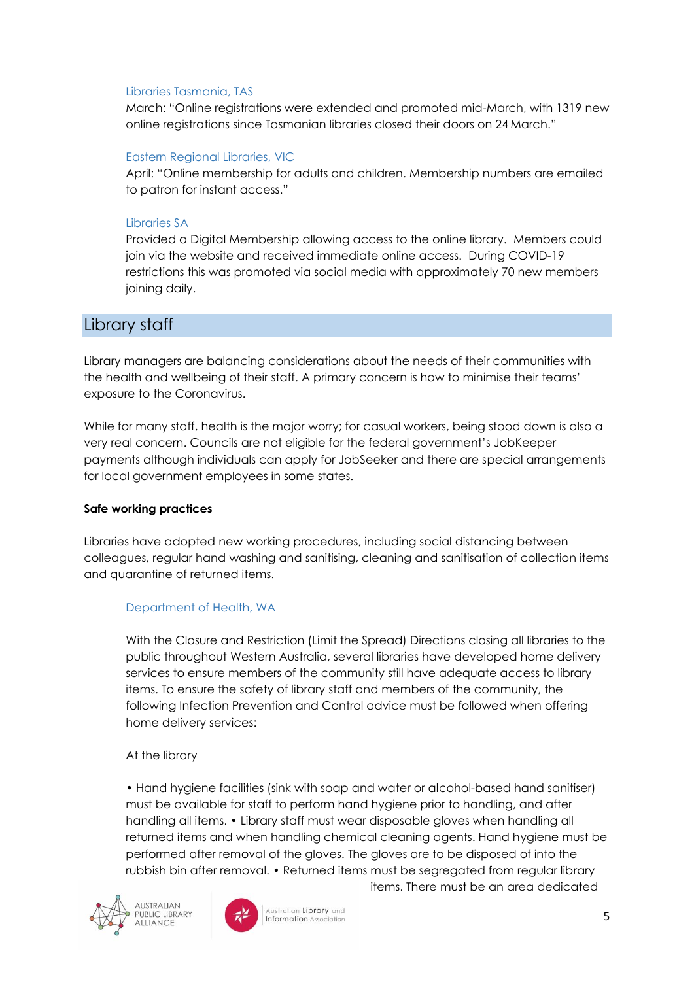#### Libraries Tasmania, TAS

March: "Online registrations were extended and promoted mid-March, with 1319 new online registrations since Tasmanian libraries closed their doors on 24 March."

#### Eastern Regional Libraries, VIC

April: "Online membership for adults and children. Membership numbers are emailed to patron for instant access."

#### Libraries SA

Provided a Digital Membership allowing access to the online library. Members could join via the website and received immediate online access. During COVID-19 restrictions this was promoted via social media with approximately 70 new members joining daily.

## <span id="page-4-0"></span>Library staff

Library managers are balancing considerations about the needs of their communities with the health and wellbeing of their staff. A primary concern is how to minimise their teams' exposure to the Coronavirus.

While for many staff, health is the major worry; for casual workers, being stood down is also a very real concern. Councils are not eligible for the federal government's JobKeeper payments although individuals can apply for JobSeeker and there are special arrangements for local government employees in some states.

#### **Safe working practices**

Libraries have adopted new working procedures, including social distancing between colleagues, regular hand washing and sanitising, cleaning and sanitisation of collection items and quarantine of returned items.

#### Department of Health, WA

With the Closure and Restriction (Limit the Spread) Directions closing all libraries to the public throughout Western Australia, several libraries have developed home delivery services to ensure members of the community still have adequate access to library items. To ensure the safety of library staff and members of the community, the following Infection Prevention and Control advice must be followed when offering home delivery services:

#### At the library

• Hand hygiene facilities (sink with soap and water or alcohol-based hand sanitiser) must be available for staff to perform hand hygiene prior to handling, and after handling all items. • Library staff must wear disposable gloves when handling all returned items and when handling chemical cleaning agents. Hand hygiene must be performed after removal of the gloves. The gloves are to be disposed of into the rubbish bin after removal. • Returned items must be segregated from regular library





Australian Library and **Information Associa** 

items. There must be an area dedicated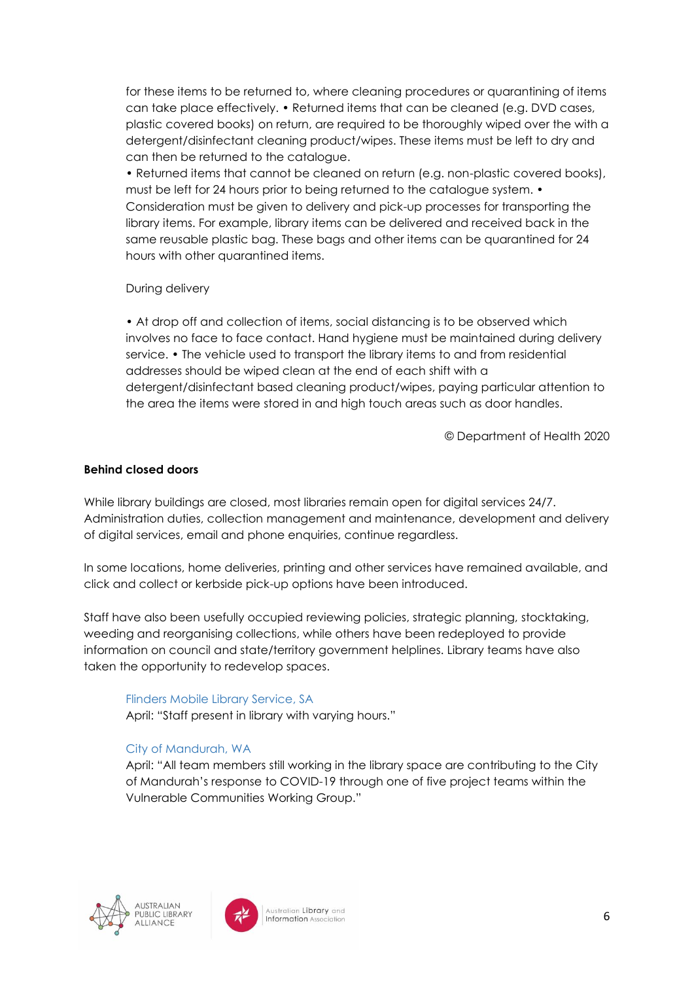for these items to be returned to, where cleaning procedures or quarantining of items can take place effectively. • Returned items that can be cleaned (e.g. DVD cases, plastic covered books) on return, are required to be thoroughly wiped over the with a detergent/disinfectant cleaning product/wipes. These items must be left to dry and can then be returned to the catalogue.

• Returned items that cannot be cleaned on return (e.g. non-plastic covered books), must be left for 24 hours prior to being returned to the catalogue system. • Consideration must be given to delivery and pick-up processes for transporting the library items. For example, library items can be delivered and received back in the same reusable plastic bag. These bags and other items can be quarantined for 24 hours with other quarantined items.

#### During delivery

• At drop off and collection of items, social distancing is to be observed which involves no face to face contact. Hand hygiene must be maintained during delivery service. • The vehicle used to transport the library items to and from residential addresses should be wiped clean at the end of each shift with a detergent/disinfectant based cleaning product/wipes, paying particular attention to the area the items were stored in and high touch areas such as door handles.

© Department of Health 2020

#### **Behind closed doors**

While library buildings are closed, most libraries remain open for digital services 24/7. Administration duties, collection management and maintenance, development and delivery of digital services, email and phone enquiries, continue regardless.

In some locations, home deliveries, printing and other services have remained available, and click and collect or kerbside pick-up options have been introduced.

Staff have also been usefully occupied reviewing policies, strategic planning, stocktaking, weeding and reorganising collections, while others have been redeployed to provide information on council and state/territory government helplines. Library teams have also taken the opportunity to redevelop spaces.

#### Flinders Mobile Library Service, SA April: "Staff present in library with varying hours."

#### City of Mandurah, WA

April: "All team members still working in the library space are contributing to the City of Mandurah's response to COVID-19 through one of five project teams within the Vulnerable Communities Working Group."



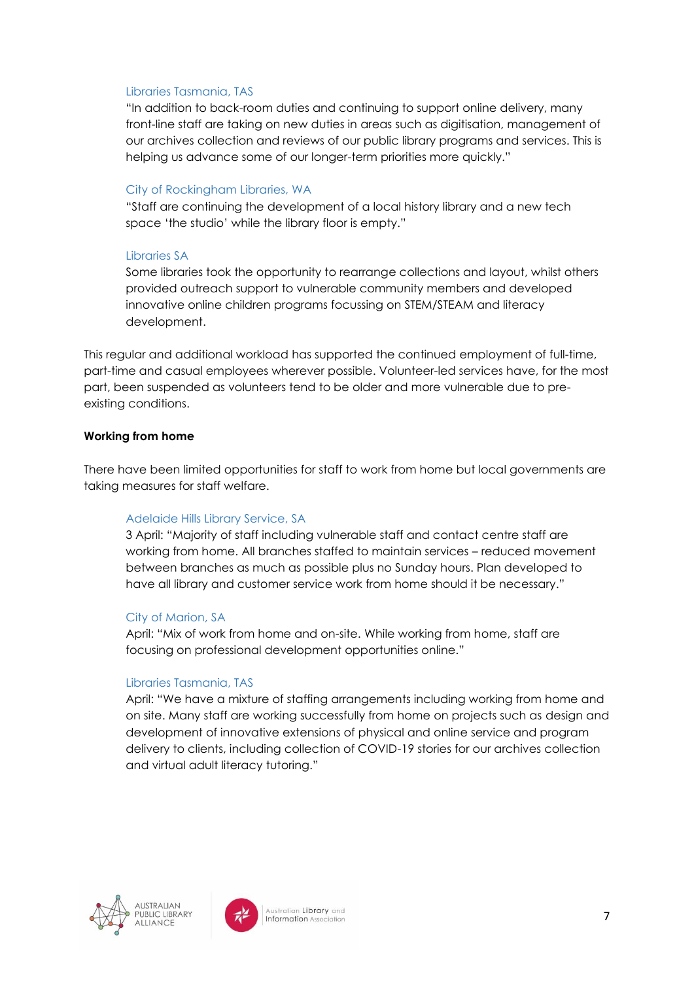#### Libraries Tasmania, TAS

"In addition to back-room duties and continuing to support online delivery, many front-line staff are taking on new duties in areas such as digitisation, management of our archives collection and reviews of our public library programs and services. This is helping us advance some of our longer-term priorities more quickly."

#### City of Rockingham Libraries, WA

"Staff are continuing the development of a local history library and a new tech space 'the studio' while the library floor is empty."

#### Libraries SA

Some libraries took the opportunity to rearrange collections and layout, whilst others provided outreach support to vulnerable community members and developed innovative online children programs focussing on STEM/STEAM and literacy development.

This regular and additional workload has supported the continued employment of full-time, part-time and casual employees wherever possible. Volunteer-led services have, for the most part, been suspended as volunteers tend to be older and more vulnerable due to preexisting conditions.

#### **Working from home**

There have been limited opportunities for staff to work from home but local governments are taking measures for staff welfare.

#### Adelaide Hills Library Service, SA

3 April: "Majority of staff including vulnerable staff and contact centre staff are working from home. All branches staffed to maintain services – reduced movement between branches as much as possible plus no Sunday hours. Plan developed to have all library and customer service work from home should it be necessary."

#### City of Marion, SA

April: "Mix of work from home and on-site. While working from home, staff are focusing on professional development opportunities online."

#### Libraries Tasmania, TAS

April: "We have a mixture of staffing arrangements including working from home and on site. Many staff are working successfully from home on projects such as design and development of innovative extensions of physical and online service and program delivery to clients, including collection of COVID-19 stories for our archives collection and virtual adult literacy tutoring."

<span id="page-6-0"></span>

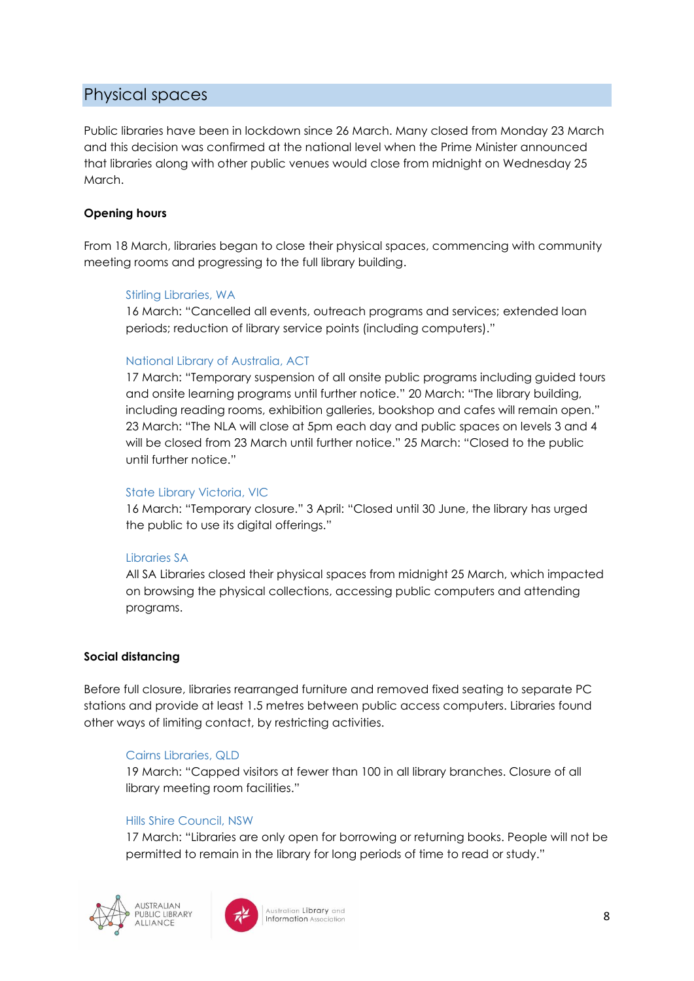## Physical spaces

Public libraries have been in lockdown since 26 March. Many closed from Monday 23 March and this decision was confirmed at the national level when the Prime Minister announced that libraries along with other public venues would close from midnight on Wednesday 25 March.

#### **Opening hours**

From 18 March, libraries began to close their physical spaces, commencing with community meeting rooms and progressing to the full library building.

#### Stirling Libraries, WA

16 March: "Cancelled all events, outreach programs and services; extended loan periods; reduction of library service points (including computers)."

#### National Library of Australia, ACT

17 March: "Temporary suspension of all onsite public programs including guided tours and onsite learning programs until further notice." 20 March: "The library building, including reading rooms, exhibition galleries, bookshop and cafes will remain open." 23 March: "The NLA will close at 5pm each day and public spaces on levels 3 and 4 will be closed from 23 March until further notice." 25 March: "Closed to the public until further notice."

#### State Library Victoria, VIC

16 March: "Temporary closure." 3 April: "Closed until 30 June, the library has urged the public to use its digital offerings."

#### Libraries SA

All SA Libraries closed their physical spaces from midnight 25 March, which impacted on browsing the physical collections, accessing public computers and attending programs.

#### **Social distancing**

Before full closure, libraries rearranged furniture and removed fixed seating to separate PC stations and provide at least 1.5 metres between public access computers. Libraries found other ways of limiting contact, by restricting activities.

#### Cairns Libraries, QLD

19 March: "Capped visitors at fewer than 100 in all library branches. Closure of all library meeting room facilities."

#### Hills Shire Council, NSW

17 March: "Libraries are only open for borrowing or returning books. People will not be permitted to remain in the library for long periods of time to read or study."



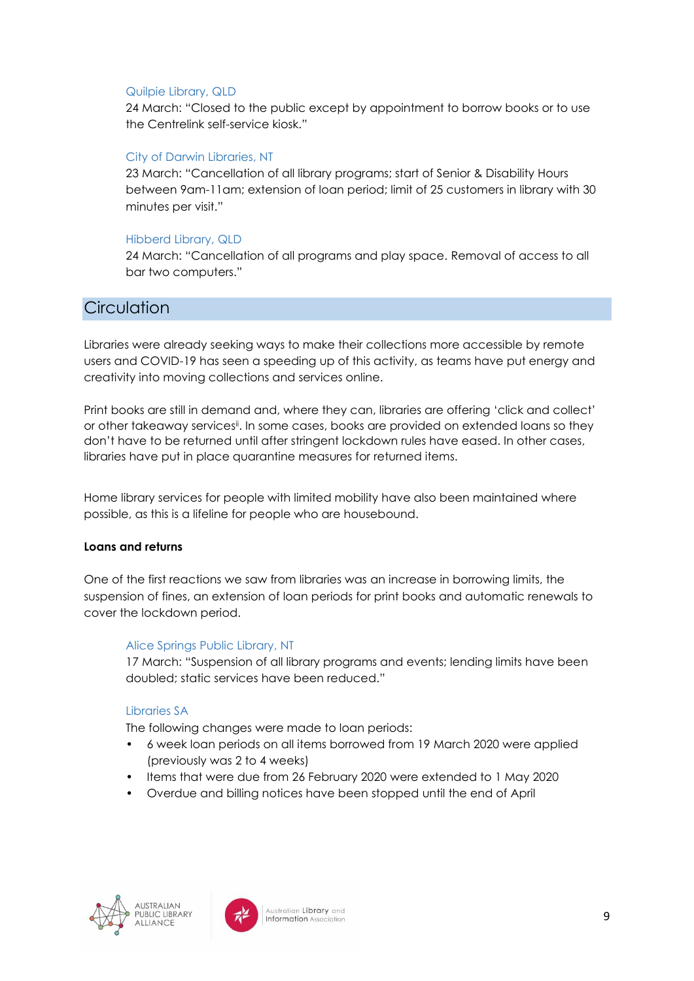#### Quilpie Library, QLD

24 March: "Closed to the public except by appointment to borrow books or to use the Centrelink self-service kiosk."

#### City of Darwin Libraries, NT

23 March: "Cancellation of all library programs; start of Senior & Disability Hours between 9am-11am; extension of loan period; limit of 25 customers in library with 30 minutes per visit."

#### Hibberd Library, QLD

24 March: "Cancellation of all programs and play space. Removal of access to all bar two computers."

### <span id="page-8-0"></span>**Circulation**

Libraries were already seeking ways to make their collections more accessible by remote users and COVID-19 has seen a speeding up of this activity, as teams have put energy and creativity into moving collections and services online.

Print books are still in demand and, where they can, libraries are offering 'click and collect' or other takeaway servicesii. In some cases, books are provided on extended loans so they don't have to be returned until after stringent lockdown rules have eased. In other cases, libraries have put in place quarantine measures for returned items.

Home library services for people with limited mobility have also been maintained where possible, as this is a lifeline for people who are housebound.

#### **Loans and returns**

One of the first reactions we saw from libraries was an increase in borrowing limits, the suspension of fines, an extension of loan periods for print books and automatic renewals to cover the lockdown period.

#### Alice Springs Public Library, NT

17 March: "Suspension of all library programs and events; lending limits have been doubled; static services have been reduced."

#### Libraries SA

The following changes were made to loan periods:

- 6 week loan periods on all items borrowed from 19 March 2020 were applied (previously was 2 to 4 weeks)
- Items that were due from 26 February 2020 were extended to 1 May 2020
- Overdue and billing notices have been stopped until the end of April



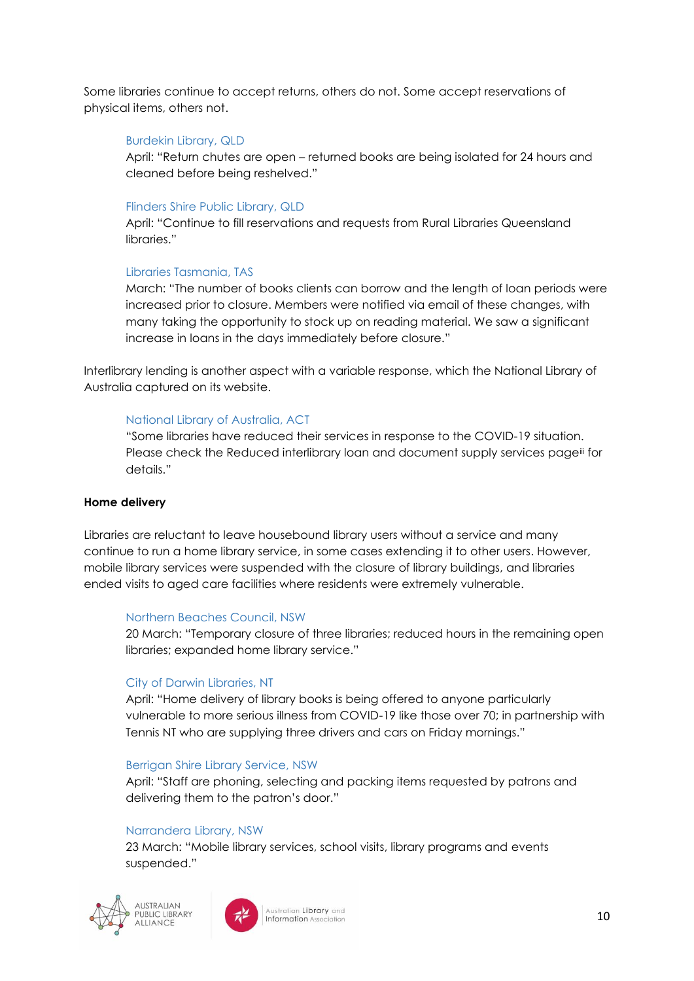Some libraries continue to accept returns, others do not. Some accept reservations of physical items, others not.

#### Burdekin Library, QLD

April: "Return chutes are open – returned books are being isolated for 24 hours and cleaned before being reshelved."

#### Flinders Shire Public Library, QLD

April: "Continue to fill reservations and requests from Rural Libraries Queensland libraries."

#### Libraries Tasmania, TAS

March: "The number of books clients can borrow and the length of loan periods were increased prior to closure. Members were notified via email of these changes, with many taking the opportunity to stock up on reading material. We saw a significant increase in loans in the days immediately before closure."

Interlibrary lending is another aspect with a variable response, which the National Library of Australia captured on its website.

#### National Library of Australia, ACT

"Some libraries have reduced their services in response to the COVID-19 situation. Please check the Reduced interlibrary loan and document supply services page<sup>iii</sup> for details."

#### **Home delivery**

Libraries are reluctant to leave housebound library users without a service and many continue to run a home library service, in some cases extending it to other users. However, mobile library services were suspended with the closure of library buildings, and libraries ended visits to aged care facilities where residents were extremely vulnerable.

#### Northern Beaches Council, NSW

20 March: "Temporary closure of three libraries; reduced hours in the remaining open libraries; expanded home library service."

#### City of Darwin Libraries, NT

April: "Home delivery of library books is being offered to anyone particularly vulnerable to more serious illness from COVID-19 like those over 70; in partnership with Tennis NT who are supplying three drivers and cars on Friday mornings."

#### Berrigan Shire Library Service, NSW

April: "Staff are phoning, selecting and packing items requested by patrons and delivering them to the patron's door."

#### Narrandera Library, NSW

23 March: "Mobile library services, school visits, library programs and events suspended."



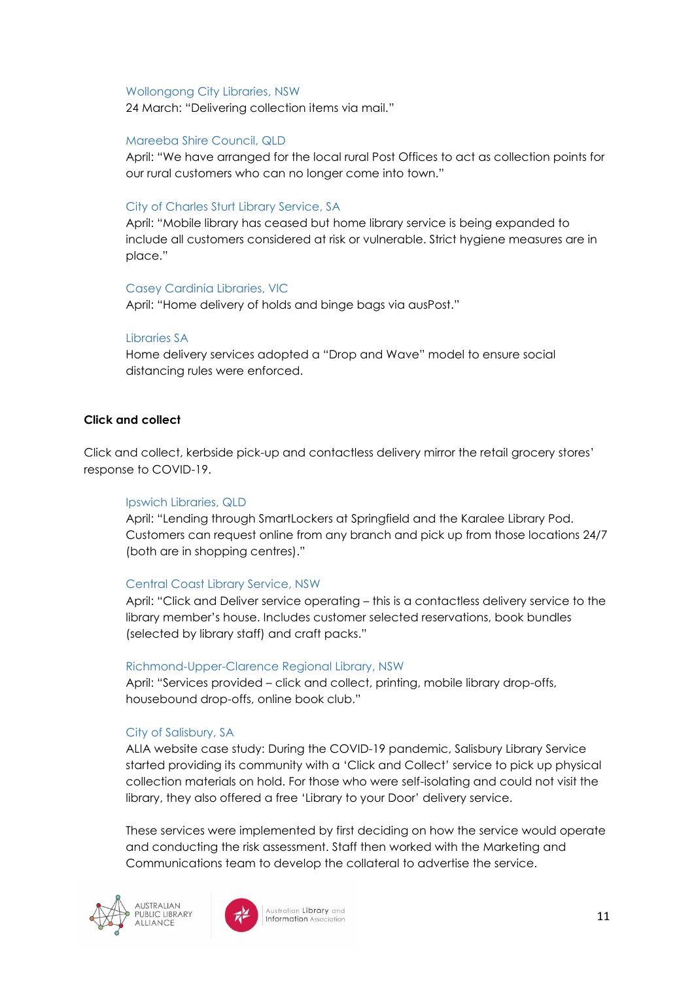#### Wollongong City Libraries, NSW

24 March: "Delivering collection items via mail."

#### Mareeba Shire Council, QLD

April: "We have arranged for the local rural Post Offices to act as collection points for our rural customers who can no longer come into town."

#### City of Charles Sturt Library Service, SA

April: "Mobile library has ceased but home library service is being expanded to include all customers considered at risk or vulnerable. Strict hygiene measures are in place."

#### Casey Cardinia Libraries, VIC

April: "Home delivery of holds and binge bags via ausPost."

#### Libraries SA

Home delivery services adopted a "Drop and Wave" model to ensure social distancing rules were enforced.

#### **Click and collect**

Click and collect, kerbside pick-up and contactless delivery mirror the retail grocery stores' response to COVID-19.

#### Ipswich Libraries, QLD

April: "Lending through SmartLockers at Springfield and the Karalee Library Pod. Customers can request online from any branch and pick up from those locations 24/7 (both are in shopping centres)."

#### Central Coast Library Service, NSW

April: "Click and Deliver service operating – this is a contactless delivery service to the library member's house. Includes customer selected reservations, book bundles (selected by library staff) and craft packs."

#### Richmond-Upper-Clarence Regional Library, NSW

April: "Services provided – click and collect, printing, mobile library drop-offs, housebound drop-offs, online book club."

#### City of Salisbury, SA

ALIA website case study: During the COVID-19 pandemic, Salisbury Library Service started providing its community with a 'Click and Collect' service to pick up physical collection materials on hold. For those who were self-isolating and could not visit the library, they also offered a free 'Library to your Door' delivery service.

These services were implemented by first deciding on how the service would operate and conducting the risk assessment. Staff then worked with the Marketing and Communications team to develop the collateral to advertise the service.



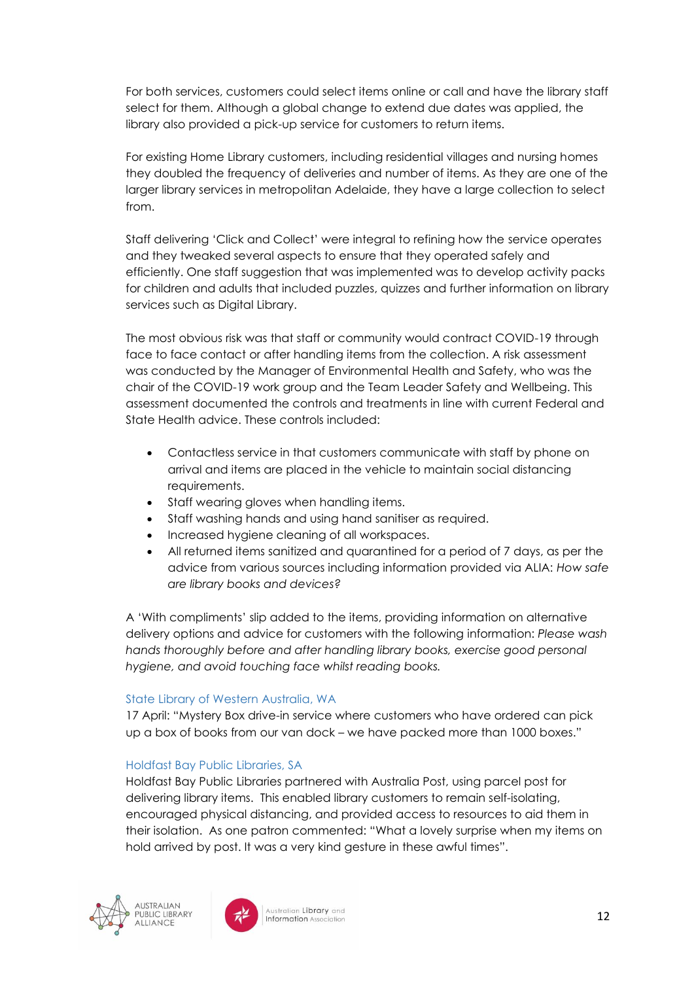For both services, customers could select items online or call and have the library staff select for them. Although a global change to extend due dates was applied, the library also provided a pick-up service for customers to return items.

For existing Home Library customers, including residential villages and nursing homes they doubled the frequency of deliveries and number of items. As they are one of the larger library services in metropolitan Adelaide, they have a large collection to select from.

Staff delivering 'Click and Collect' were integral to refining how the service operates and they tweaked several aspects to ensure that they operated safely and efficiently. One staff suggestion that was implemented was to develop activity packs for children and adults that included puzzles, quizzes and further information on library services such as Digital Library.

The most obvious risk was that staff or community would contract COVID-19 through face to face contact or after handling items from the collection. A risk assessment was conducted by the Manager of Environmental Health and Safety, who was the chair of the COVID-19 work group and the Team Leader Safety and Wellbeing. This assessment documented the controls and treatments in line with current Federal and State Health advice. These controls included:

- Contactless service in that customers communicate with staff by phone on arrival and items are placed in the vehicle to maintain social distancing requirements.
- Staff wearing gloves when handling items.
- Staff washing hands and using hand sanitiser as required.
- Increased hygiene cleaning of all workspaces.
- All returned items sanitized and quarantined for a period of 7 days, as per the advice from various sources including information provided via ALIA: *[How safe](https://www.alia.org.au/resources-libraries#Library%20books%20and%20devices)  [are library books and devices?](https://www.alia.org.au/resources-libraries#Library%20books%20and%20devices)*

A 'With compliments' slip added to the items, providing information on alternative delivery options and advice for customers with the following information: *Please wash hands thoroughly before and after handling library books, exercise good personal hygiene, and avoid touching face whilst reading books.*

#### State Library of Western Australia, WA

17 April: "Mystery Box drive-in service where customers who have ordered can pick up a box of books from our van dock – we have packed more than 1000 boxes."

#### Holdfast Bay Public Libraries, SA

Holdfast Bay Public Libraries partnered with Australia Post, using parcel post for delivering library items. This enabled library customers to remain self-isolating, encouraged physical distancing, and provided access to resources to aid them in their isolation. As one patron commented: "What a lovely surprise when my items on hold arrived by post. It was a very kind gesture in these awful times".



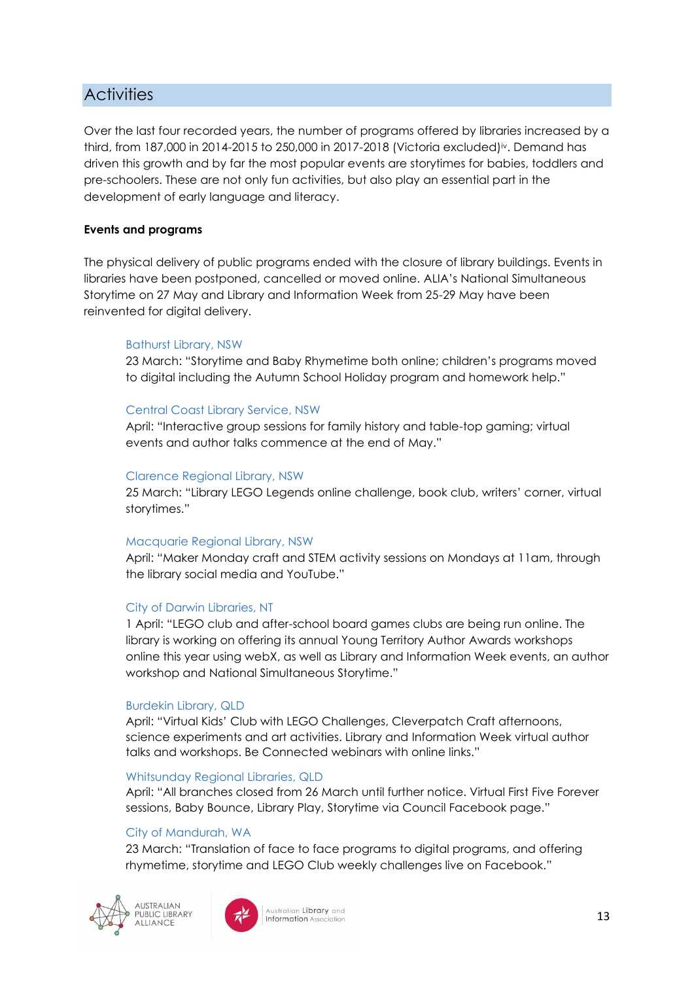## <span id="page-12-0"></span>**Activities**

Over the last four recorded years, the number of programs offered by libraries increased by a third, from 187,000 in 2014-2015 to 250,000 in 2017-2018 (Victoria excluded)iv. Demand has driven this growth and by far the most popular events are storytimes for babies, toddlers and pre-schoolers. These are not only fun activities, but also play an essential part in the development of early language and literacy.

#### **Events and programs**

The physical delivery of public programs ended with the closure of library buildings. Events in libraries have been postponed, cancelled or moved online. ALIA's National Simultaneous Storytime on 27 May and Library and Information Week from 25-29 May have been reinvented for digital delivery.

#### Bathurst Library, NSW

23 March: "Storytime and Baby Rhymetime both online; children's programs moved to digital including the Autumn School Holiday program and homework help."

#### Central Coast Library Service, NSW

April: "Interactive group sessions for family history and table-top gaming; virtual events and author talks commence at the end of May."

#### Clarence Regional Library, NSW

25 March: "Library LEGO Legends online challenge, book club, writers' corner, virtual storytimes."

#### Macquarie Regional Library, NSW

April: "Maker Monday craft and STEM activity sessions on Mondays at 11am, through the library social media and YouTube."

#### City of Darwin Libraries, NT

1 April: "LEGO club and after-school board games clubs are being run online. The library is working on offering its annual Young Territory Author Awards workshops online this year using webX, as well as Library and Information Week events, an author workshop and National Simultaneous Storytime."

#### Burdekin Library, QLD

April: "Virtual Kids' Club with LEGO Challenges, Cleverpatch Craft afternoons, science experiments and art activities. Library and Information Week virtual author talks and workshops. Be Connected webinars with online links."

#### Whitsunday Regional Libraries, QLD

April: "All branches closed from 26 March until further notice. Virtual First Five Forever sessions, Baby Bounce, Library Play, Storytime via Council Facebook page."

#### City of Mandurah, WA

23 March: "Translation of face to face programs to digital programs, and offering rhymetime, storytime and LEGO Club weekly challenges live on Facebook."



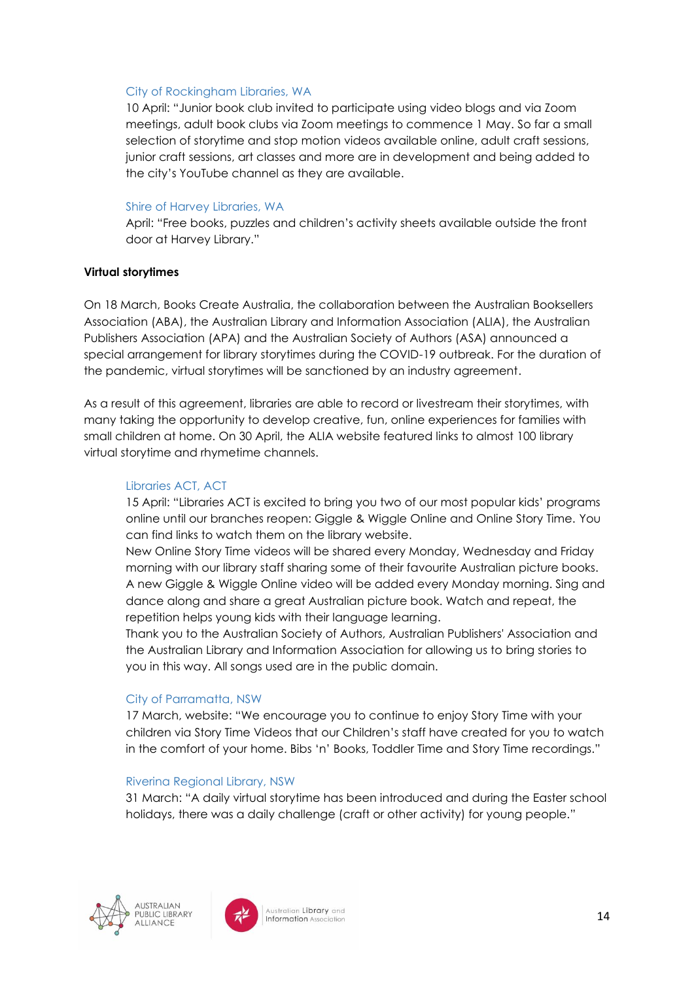#### City of Rockingham Libraries, WA

10 April: "Junior book club invited to participate using video blogs and via Zoom meetings, adult book clubs via Zoom meetings to commence 1 May. So far a small selection of storytime and stop motion videos available online, adult craft sessions, junior craft sessions, art classes and more are in development and being added to the city's YouTube channel as they are available.

#### Shire of Harvey Libraries, WA

April: "Free books, puzzles and children's activity sheets available outside the front door at Harvey Library."

#### **Virtual storytimes**

On 18 March, Books Create Australia, the collaboration between the Australian Booksellers Association (ABA), the Australian Library and Information Association (ALIA), the Australian Publishers Association (APA) and the Australian Society of Authors (ASA) announced a special arrangement for library storytimes during the COVID-19 outbreak. For the duration of the pandemic, virtual storytimes will be sanctioned by an industry agreement.

As a result of this agreement, libraries are able to record or livestream their storytimes, with many taking the opportunity to develop creative, fun, online experiences for families with small children at home. On 30 April, the ALIA website featured links to almost 100 library virtual storytime and rhymetime channels.

#### Libraries ACT, ACT

15 April: "Libraries ACT is excited to bring you two of our most popular kids' programs online until our branches reopen: Giggle & Wiggle Online and Online Story Time. You can find links to watch them on the library website.

New Online Story Time videos will be shared every Monday, Wednesday and Friday morning with our library staff sharing some of their favourite Australian picture books. A new Giggle & Wiggle Online video will be added every Monday morning. Sing and dance along and share a great Australian picture book. Watch and repeat, the repetition helps young kids with their language learning.

Thank you to the Australian Society of Authors, Australian Publishers' Association and the Australian Library and Information Association for allowing us to bring stories to you in this way. All songs used are in the public domain.

#### City of Parramatta, NSW

17 March, website: "We encourage you to continue to enjoy Story Time with your children via Story Time Videos that our Children's staff have created for you to watch in the comfort of your home. Bibs 'n' Books, Toddler Time and Story Time recordings."

#### Riverina Regional Library, NSW

31 March: "A daily virtual storytime has been introduced and during the Easter school holidays, there was a daily challenge (craft or other activity) for young people."



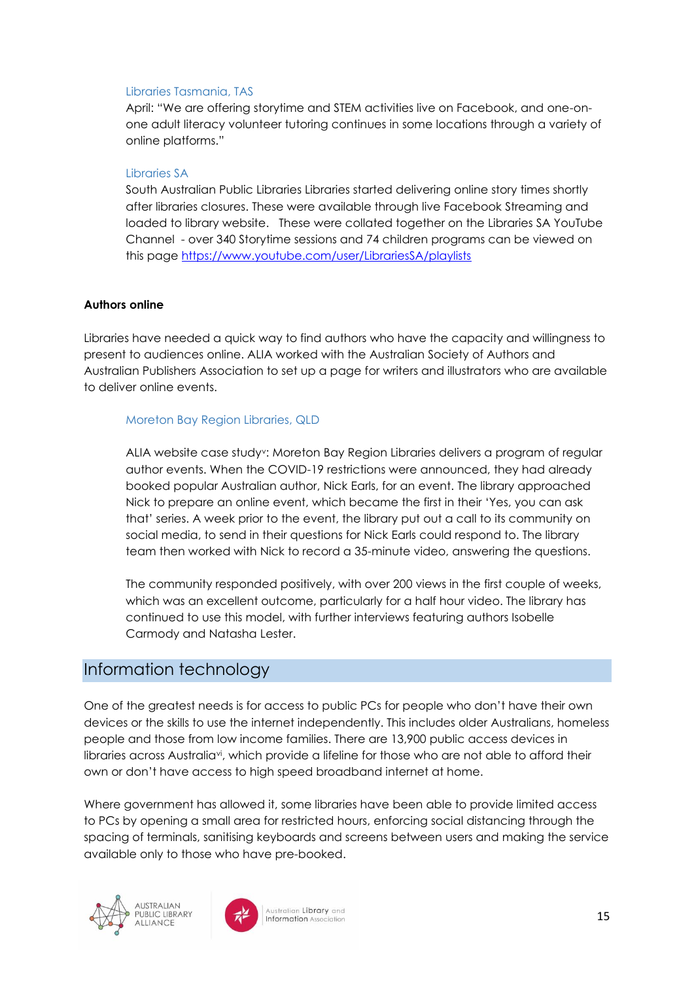#### Libraries Tasmania, TAS

April: "We are offering storytime and STEM activities live on Facebook, and one-onone adult literacy volunteer tutoring continues in some locations through a variety of online platforms."

#### Libraries SA

South Australian Public Libraries Libraries started delivering online story times shortly after libraries closures. These were available through live Facebook Streaming and loaded to library website. These were collated together on the Libraries SA YouTube Channel - over 340 Storytime sessions and 74 children programs can be viewed on this page<https://www.youtube.com/user/LibrariesSA/playlists>

#### **Authors online**

Libraries have needed a quick way to find authors who have the capacity and willingness to present to audiences online. ALIA worked with the Australian Society of Authors and Australian Publishers Association to set up a page for writers and illustrators who are available to deliver online events.

#### Moreton Bay Region Libraries, QLD

ALIA website case studyv: Moreton Bay Region Libraries delivers a program of regular author events. When the COVID-19 restrictions were announced, they had already booked popular Australian author, Nick Earls, for an event. The library approached Nick to prepare an online event, which became the first in their 'Yes, you can ask that' series. A week prior to the event, the library put out a call to its community on social media, to send in their questions for Nick Earls could respond to. The library team then worked with Nick to record a 35-minute video, answering the questions.

The community responded positively, with over 200 views in the first couple of weeks, which was an excellent outcome, particularly for a half hour video. The library has continued to use this model, with further interviews featuring authors Isobelle Carmody and Natasha Lester.

## <span id="page-14-0"></span>Information technology

One of the greatest needs is for access to public PCs for people who don't have their own devices or the skills to use the internet independently. This includes older Australians, homeless people and those from low income families. There are 13,900 public access devices in libraries across Australiavi, which provide a lifeline for those who are not able to afford their own or don't have access to high speed broadband internet at home.

Where government has allowed it, some libraries have been able to provide limited access to PCs by opening a small area for restricted hours, enforcing social distancing through the spacing of terminals, sanitising keyboards and screens between users and making the service available only to those who have pre-booked.



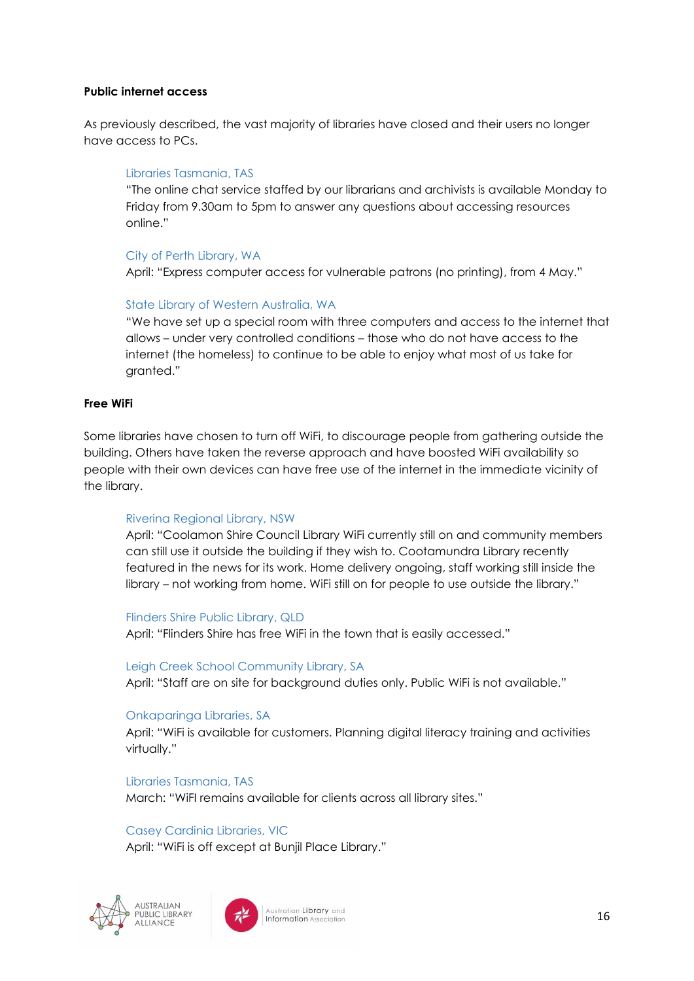#### **Public internet access**

As previously described, the vast majority of libraries have closed and their users no longer have access to PCs.

#### Libraries Tasmania, TAS

"The online chat service staffed by our librarians and archivists is available Monday to Friday from 9.30am to 5pm to answer any questions about accessing resources online."

#### City of Perth Library, WA

April: "Express computer access for vulnerable patrons (no printing), from 4 May."

#### State Library of Western Australia, WA

"We have set up a special room with three computers and access to the internet that allows – under very controlled conditions – those who do not have access to the internet (the homeless) to continue to be able to enjoy what most of us take for granted."

#### **Free WiFi**

Some libraries have chosen to turn off WiFi, to discourage people from gathering outside the building. Others have taken the reverse approach and have boosted WiFi availability so people with their own devices can have free use of the internet in the immediate vicinity of the library.

#### Riverina Regional Library, NSW

April: "Coolamon Shire Council Library WiFi currently still on and community members can still use it outside the building if they wish to. Cootamundra Library recently featured in the news for its work. Home delivery ongoing, staff working still inside the library – not working from home. WiFi still on for people to use outside the library."

#### Flinders Shire Public Library, QLD

April: "Flinders Shire has free WiFi in the town that is easily accessed."

#### Leigh Creek School Community Library, SA

April: "Staff are on site for background duties only. Public WiFi is not available."

#### Onkaparinga Libraries, SA

April: "WiFi is available for customers. Planning digital literacy training and activities virtually."

Libraries Tasmania, TAS March: "WiFI remains available for clients across all library sites."

#### Casey Cardinia Libraries, VIC

April: "WiFi is off except at Bunjil Place Library."



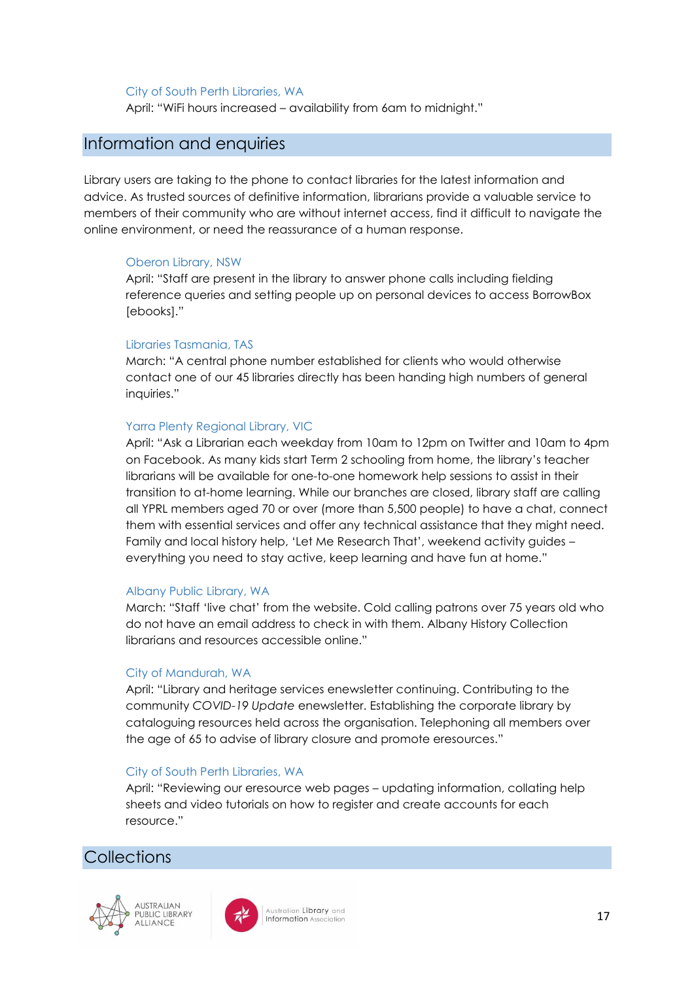#### City of South Perth Libraries, WA

April: "WiFi hours increased – availability from 6am to midnight."

#### <span id="page-16-0"></span>Information and enquiries

Library users are taking to the phone to contact libraries for the latest information and advice. As trusted sources of definitive information, librarians provide a valuable service to members of their community who are without internet access, find it difficult to navigate the online environment, or need the reassurance of a human response.

#### Oberon Library, NSW

April: "Staff are present in the library to answer phone calls including fielding reference queries and setting people up on personal devices to access BorrowBox [ebooks]."

#### Libraries Tasmania, TAS

March: "A central phone number established for clients who would otherwise contact one of our 45 libraries directly has been handing high numbers of general inquiries."

#### Yarra Plenty Regional Library, VIC

April: "Ask a Librarian each weekday from 10am to 12pm on Twitter and 10am to 4pm on Facebook. As many kids start Term 2 schooling from home, the library's teacher librarians will be available for one-to-one homework help sessions to assist in their transition to at-home learning. While our branches are closed, library staff are calling all YPRL members aged 70 or over (more than 5,500 people) to have a chat, connect them with essential services and offer any technical assistance that they might need. Family and local history help, 'Let Me Research That', weekend activity guides – everything you need to stay active, keep learning and have fun at home."

#### Albany Public Library, WA

March: "Staff 'live chat' from the website. Cold calling patrons over 75 years old who do not have an email address to check in with them. Albany History Collection librarians and resources accessible online."

#### City of Mandurah, WA

April: "Library and heritage services enewsletter continuing. Contributing to the community *COVID-19 Update* enewsletter. Establishing the corporate library by cataloguing resources held across the organisation. Telephoning all members over the age of 65 to advise of library closure and promote eresources."

#### City of South Perth Libraries, WA

April: "Reviewing our eresource web pages – updating information, collating help sheets and video tutorials on how to register and create accounts for each resource."

## <span id="page-16-1"></span>**Collections**



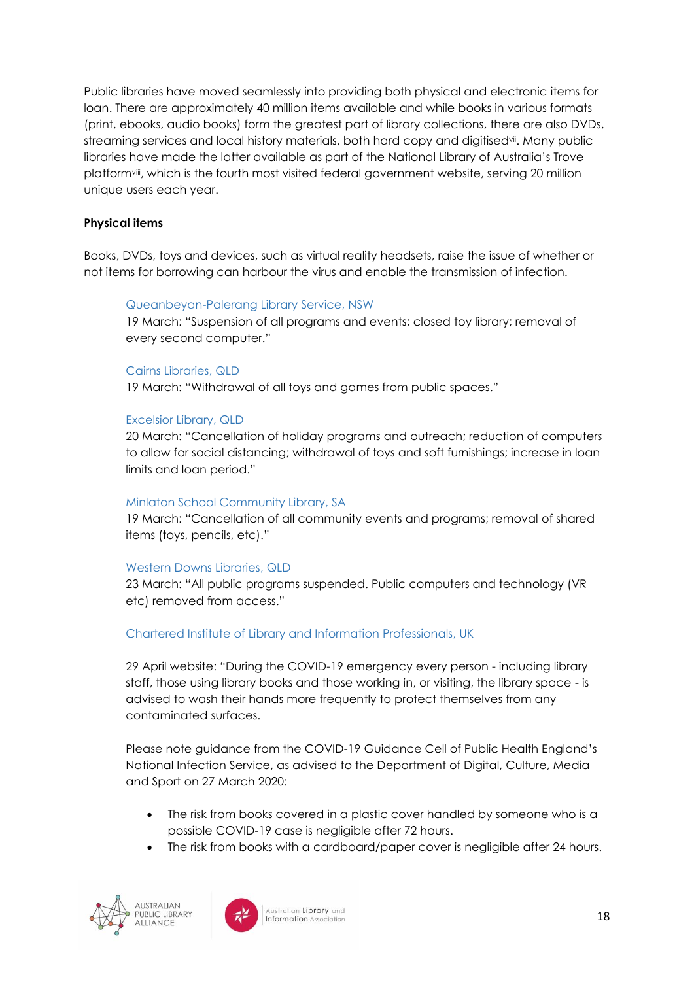Public libraries have moved seamlessly into providing both physical and electronic items for loan. There are approximately 40 million items available and while books in various formats (print, ebooks, audio books) form the greatest part of library collections, there are also DVDs, streaming services and local history materials, both hard copy and digitisedvii. Many public libraries have made the latter available as part of the National Library of Australia's Trove platformviii, which is the fourth most visited federal government website, serving 20 million unique users each year.

#### **Physical items**

Books, DVDs, toys and devices, such as virtual reality headsets, raise the issue of whether or not items for borrowing can harbour the virus and enable the transmission of infection.

#### Queanbeyan-Palerang Library Service, NSW

19 March: "Suspension of all programs and events; closed toy library; removal of every second computer."

#### Cairns Libraries, QLD

19 March: "Withdrawal of all toys and games from public spaces."

#### Excelsior Library, QLD

20 March: "Cancellation of holiday programs and outreach; reduction of computers to allow for social distancing; withdrawal of toys and soft furnishings; increase in loan limits and loan period."

#### Minlaton School Community Library, SA

19 March: "Cancellation of all community events and programs; removal of shared items (toys, pencils, etc)."

#### Western Downs Libraries, QLD

23 March: "All public programs suspended. Public computers and technology (VR etc) removed from access."

#### Chartered Institute of Library and Information Professionals, UK

29 April website: "During the COVID-19 emergency every person - including library staff, those using library books and those working in, or visiting, the library space - is advised to wash their hands more frequently to protect themselves from any contaminated surfaces.

Please note guidance from the COVID-19 Guidance Cell of Public Health England's National Infection Service, as advised to the Department of Digital, Culture, Media and Sport on 27 March 2020:

- The risk from books covered in a plastic cover handled by someone who is a possible COVID-19 case is negligible after 72 hours.
- The risk from books with a cardboard/paper cover is negligible after 24 hours.



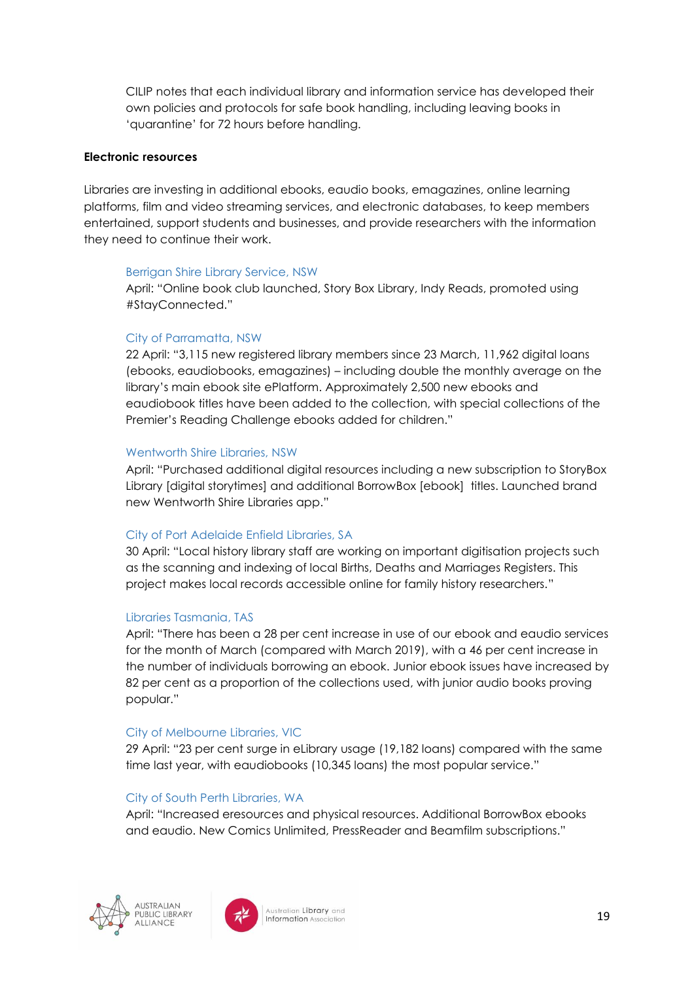CILIP notes that each individual library and information service has developed their own policies and protocols for safe book handling, including leaving books in 'quarantine' for 72 hours before handling.

#### **Electronic resources**

Libraries are investing in additional ebooks, eaudio books, emagazines, online learning platforms, film and video streaming services, and electronic databases, to keep members entertained, support students and businesses, and provide researchers with the information they need to continue their work.

#### Berrigan Shire Library Service, NSW

April: "Online book club launched, Story Box Library, Indy Reads, promoted using #StayConnected."

#### City of Parramatta, NSW

22 April: "3,115 new registered library members since 23 March, 11,962 digital loans (ebooks, eaudiobooks, emagazines) – including double the monthly average on the library's main ebook site ePlatform. Approximately 2,500 new ebooks and eaudiobook titles have been added to the collection, with special collections of the Premier's Reading Challenge ebooks added for children."

#### Wentworth Shire Libraries, NSW

April: "Purchased additional digital resources including a new subscription to StoryBox Library [digital storytimes] and additional BorrowBox [ebook] titles. Launched brand new Wentworth Shire Libraries app."

#### City of Port Adelaide Enfield Libraries, SA

30 April: "Local history library staff are working on important digitisation projects such as the scanning and indexing of local Births, Deaths and Marriages Registers. This project makes local records accessible online for family history researchers."

#### Libraries Tasmania, TAS

April: "There has been a 28 per cent increase in use of our ebook and eaudio services for the month of March (compared with March 2019), with a 46 per cent increase in the number of individuals borrowing an ebook. Junior ebook issues have increased by 82 per cent as a proportion of the collections used, with junior audio books proving popular."

#### City of Melbourne Libraries, VIC

29 April: "23 per cent surge in eLibrary usage (19,182 loans) compared with the same time last year, with eaudiobooks (10,345 loans) the most popular service."

#### City of South Perth Libraries, WA

April: "Increased eresources and physical resources. Additional BorrowBox ebooks and eaudio. New Comics Unlimited, PressReader and Beamfilm subscriptions."



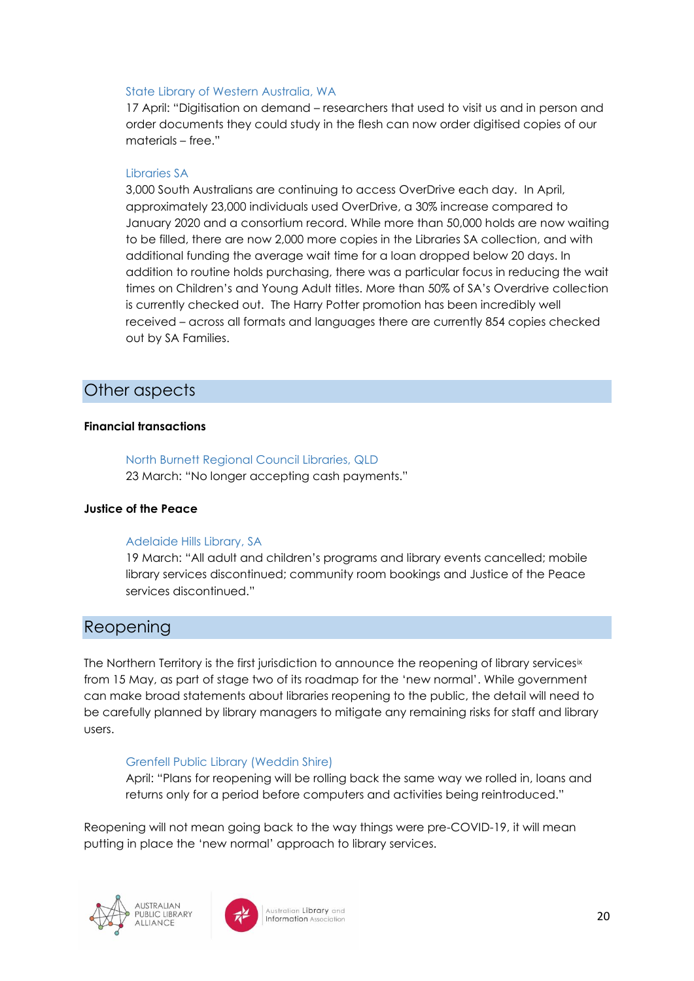#### State Library of Western Australia, WA

17 April: "Digitisation on demand – researchers that used to visit us and in person and order documents they could study in the flesh can now order digitised copies of our materials – free."

#### Libraries SA

3,000 South Australians are continuing to access OverDrive each day. In April, approximately 23,000 individuals used OverDrive, a 30% increase compared to January 2020 and a consortium record. While more than 50,000 holds are now waiting to be filled, there are now 2,000 more copies in the Libraries SA collection, and with additional funding the average wait time for a loan dropped below 20 days. In addition to routine holds purchasing, there was a particular focus in reducing the wait times on Children's and Young Adult titles. More than 50% of SA's Overdrive collection is currently checked out. The Harry Potter promotion has been incredibly well received – across all formats and languages there are currently 854 copies checked out by SA Families.

## <span id="page-19-0"></span>Other aspects

#### **Financial transactions**

North Burnett Regional Council Libraries, QLD 23 March: "No longer accepting cash payments."

#### **Justice of the Peace**

#### Adelaide Hills Library, SA

19 March: "All adult and children's programs and library events cancelled; mobile library services discontinued; community room bookings and Justice of the Peace services discontinued."

## <span id="page-19-1"></span>Reopening

The Northern Territory is the first jurisdiction to announce the reopening of library services<sup>ix</sup> from 15 May, as part of stage two of its roadmap for the 'new normal'. While government can make broad statements about libraries reopening to the public, the detail will need to be carefully planned by library managers to mitigate any remaining risks for staff and library users.

#### Grenfell Public Library (Weddin Shire)

April: "Plans for reopening will be rolling back the same way we rolled in, loans and returns only for a period before computers and activities being reintroduced."

Reopening will not mean going back to the way things were pre-COVID-19, it will mean putting in place the 'new normal' approach to library services.



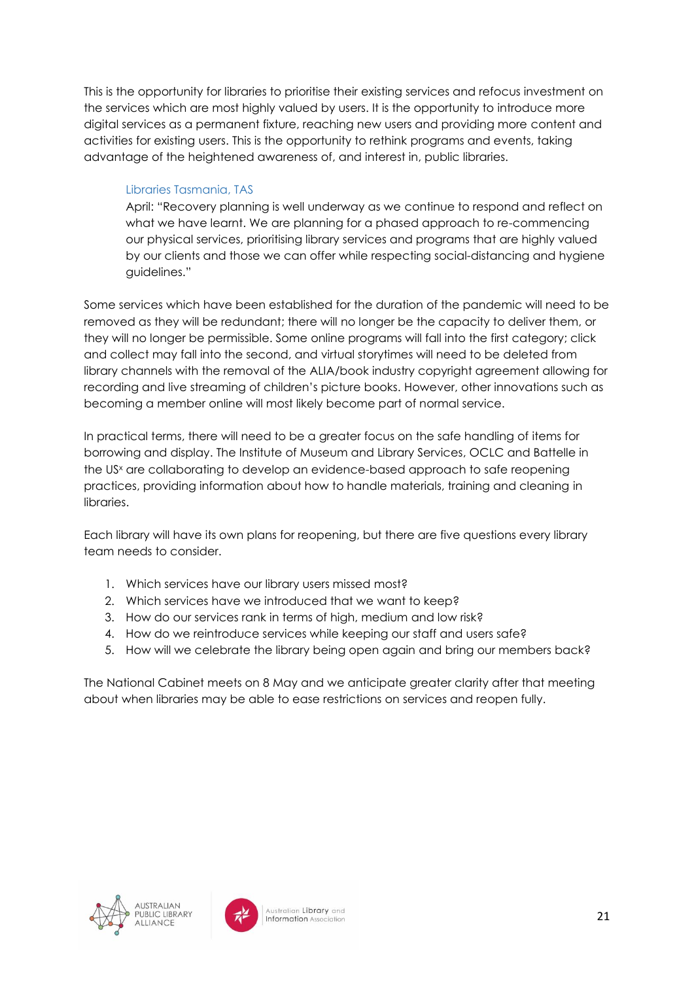This is the opportunity for libraries to prioritise their existing services and refocus investment on the services which are most highly valued by users. It is the opportunity to introduce more digital services as a permanent fixture, reaching new users and providing more content and activities for existing users. This is the opportunity to rethink programs and events, taking advantage of the heightened awareness of, and interest in, public libraries.

#### Libraries Tasmania, TAS

April: "Recovery planning is well underway as we continue to respond and reflect on what we have learnt. We are planning for a phased approach to re-commencing our physical services, prioritising library services and programs that are highly valued by our clients and those we can offer while respecting social-distancing and hygiene guidelines."

Some services which have been established for the duration of the pandemic will need to be removed as they will be redundant; there will no longer be the capacity to deliver them, or they will no longer be permissible. Some online programs will fall into the first category; click and collect may fall into the second, and virtual storytimes will need to be deleted from library channels with the removal of the ALIA/book industry copyright agreement allowing for recording and live streaming of children's picture books. However, other innovations such as becoming a member online will most likely become part of normal service.

In practical terms, there will need to be a greater focus on the safe handling of items for borrowing and display. The Institute of Museum and Library Services, OCLC and Battelle in the US<sup>x</sup> are collaborating to develop an evidence-based approach to safe reopening practices, providing information about how to handle materials, training and cleaning in libraries.

Each library will have its own plans for reopening, but there are five questions every library team needs to consider.

- 1. Which services have our library users missed most?
- 2. Which services have we introduced that we want to keep?
- 3. How do our services rank in terms of high, medium and low risk?
- 4. How do we reintroduce services while keeping our staff and users safe?
- 5. How will we celebrate the library being open again and bring our members back?

The National Cabinet meets on 8 May and we anticipate greater clarity after that meeting about when libraries may be able to ease restrictions on services and reopen fully.



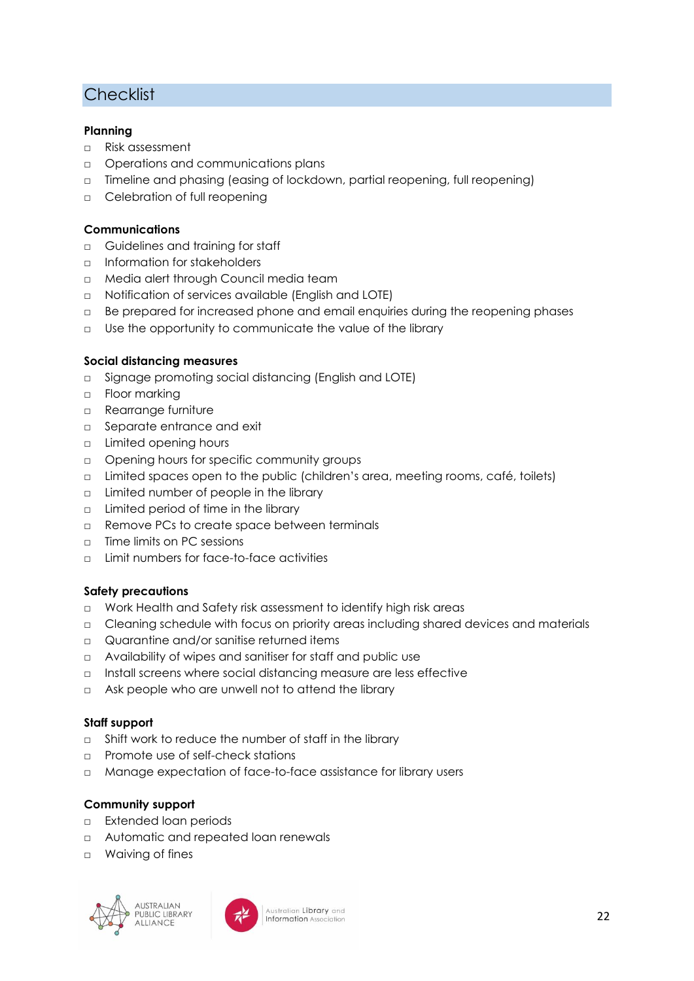## **Checklist**

#### **Planning**

- □ Risk assessment
- □ Operations and communications plans
- □ Timeline and phasing (easing of lockdown, partial reopening, full reopening)
- □ Celebration of full reopening

#### **Communications**

- □ Guidelines and training for staff
- □ Information for stakeholders
- □ Media alert through Council media team
- □ Notification of services available (English and LOTE)
- □ Be prepared for increased phone and email enquiries during the reopening phases
- □ Use the opportunity to communicate the value of the library

#### **Social distancing measures**

- □ Signage promoting social distancing (English and LOTE)
- □ Floor marking
- □ Rearrange furniture
- □ Separate entrance and exit
- □ Limited opening hours
- □ Opening hours for specific community groups
- □ Limited spaces open to the public (children's area, meeting rooms, café, toilets)
- □ Limited number of people in the library
- □ Limited period of time in the library
- □ Remove PCs to create space between terminals
- □ Time limits on PC sessions
- □ Limit numbers for face-to-face activities

#### **Safety precautions**

- □ Work Health and Safety risk assessment to identify high risk areas
- □ Cleaning schedule with focus on priority areas including shared devices and materials
- □ Quarantine and/or sanitise returned items
- □ Availability of wipes and sanitiser for staff and public use
- □ Install screens where social distancing measure are less effective
- □ Ask people who are unwell not to attend the library

#### **Staff support**

- □ Shift work to reduce the number of staff in the library
- □ Promote use of self-check stations
- □ Manage expectation of face-to-face assistance for library users

#### **Community support**

- □ Extended loan periods
- □ Automatic and repeated loan renewals
- □ Waiving of fines



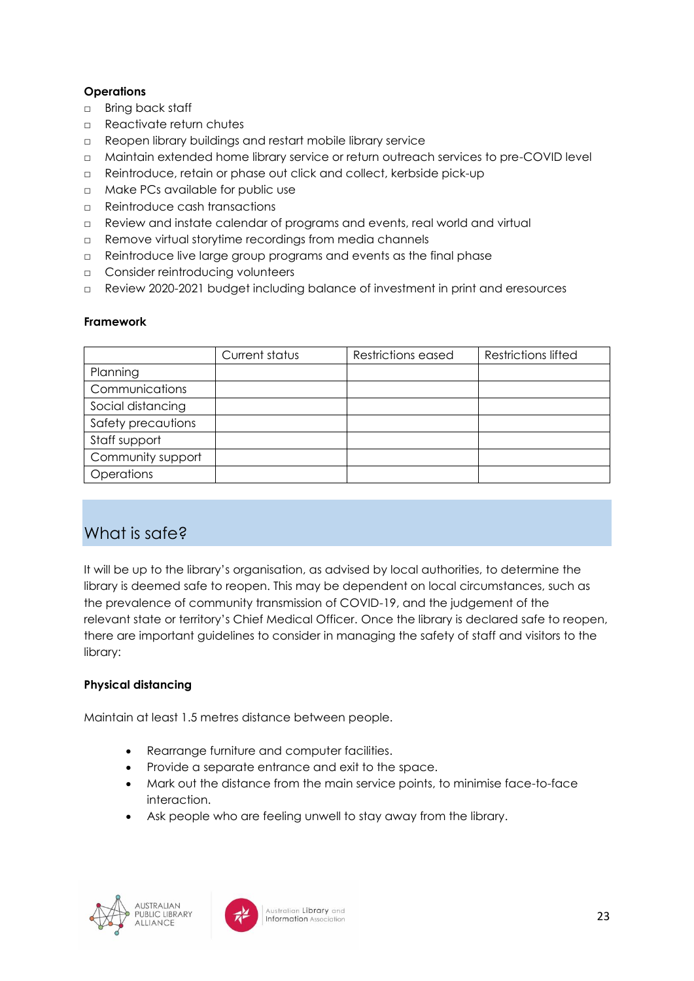#### **Operations**

- □ Bring back staff
- □ Reactivate return chutes
- □ Reopen library buildings and restart mobile library service
- □ Maintain extended home library service or return outreach services to pre-COVID level
- □ Reintroduce, retain or phase out click and collect, kerbside pick-up
- □ Make PCs available for public use
- □ Reintroduce cash transactions
- □ Review and instate calendar of programs and events, real world and virtual
- □ Remove virtual storytime recordings from media channels
- □ Reintroduce live large group programs and events as the final phase
- □ Consider reintroducing volunteers
- □ Review 2020-2021 budget including balance of investment in print and eresources

#### **Framework**

|                    | Current status | <b>Restrictions eased</b> | <b>Restrictions lifted</b> |
|--------------------|----------------|---------------------------|----------------------------|
| Planning           |                |                           |                            |
| Communications     |                |                           |                            |
| Social distancing  |                |                           |                            |
| Safety precautions |                |                           |                            |
| Staff support      |                |                           |                            |
| Community support  |                |                           |                            |
| Operations         |                |                           |                            |

## <span id="page-22-0"></span>What is safe?

It will be up to the library's organisation, as advised by local authorities, to determine the library is deemed safe to reopen. This may be dependent on local circumstances, such as the prevalence of community transmission of COVID-19, and the judgement of the relevant state or territory's Chief Medical Officer. Once the library is declared safe to reopen, there are important guidelines to consider in managing the safety of staff and visitors to the library:

#### **Physical distancing**

Maintain at least 1.5 metres distance between people.

- Rearrange furniture and computer facilities.
- Provide a separate entrance and exit to the space.
- Mark out the distance from the main service points, to minimise face-to-face interaction.
- Ask people who are feeling unwell to stay away from the library.



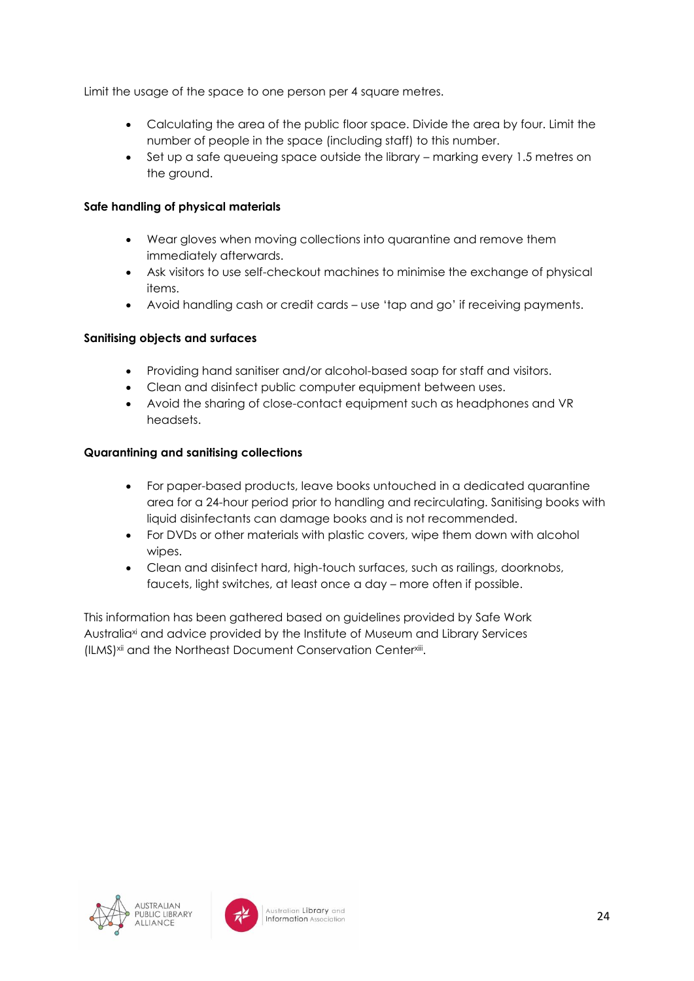Limit the usage of the space to one person per 4 square metres.

- Calculating the area of the public floor space. Divide the area by four. Limit the number of people in the space (including staff) to this number.
- Set up a safe queueing space outside the library marking every 1.5 metres on the ground.

#### **Safe handling of physical materials**

- Wear gloves when moving collections into quarantine and remove them immediately afterwards.
- Ask visitors to use self-checkout machines to minimise the exchange of physical items.
- Avoid handling cash or credit cards use 'tap and go' if receiving payments.

#### **Sanitising objects and surfaces**

- Providing hand sanitiser and/or alcohol-based soap for staff and visitors.
- Clean and disinfect public computer equipment between uses.
- Avoid the sharing of close-contact equipment such as headphones and VR headsets.

#### **Quarantining and sanitising collections**

- For paper-based products, leave books untouched in a dedicated quarantine area for a 24-hour period prior to handling and recirculating. Sanitising books with liquid disinfectants can damage books and is not recommended.
- For DVDs or other materials with plastic covers, wipe them down with alcohol wipes.
- Clean and disinfect hard, high-touch surfaces, such as railings, doorknobs, faucets, light switches, at least once a day – more often if possible.

This information has been gathered based on guidelines provided by Safe Work Australiaxi and advice provided by the Institute of Museum and Library Services (ILMS)<sup>xii</sup> and the Northeast Document Conservation Center<sup>xii</sup>.